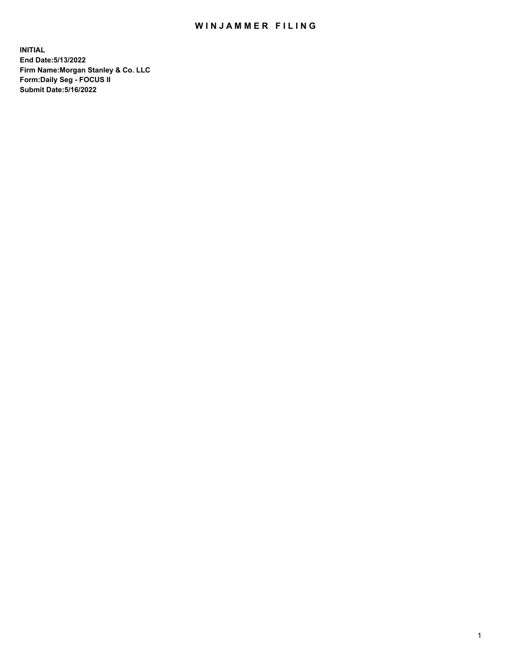## WIN JAMMER FILING

**INITIAL End Date:5/13/2022 Firm Name:Morgan Stanley & Co. LLC Form:Daily Seg - FOCUS II Submit Date:5/16/2022**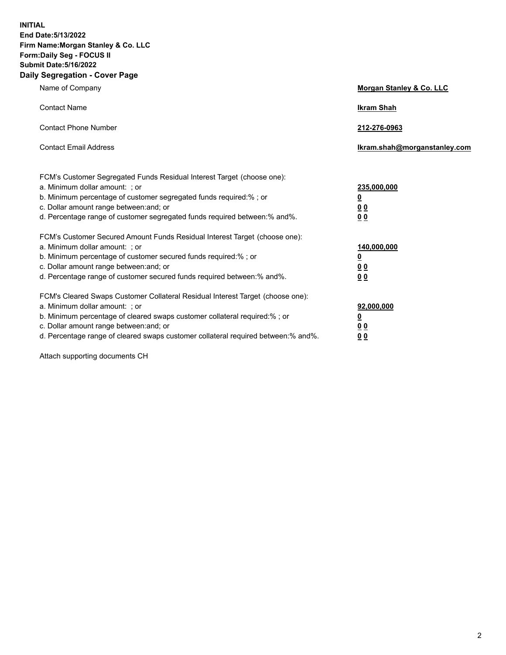**INITIAL End Date:5/13/2022 Firm Name:Morgan Stanley & Co. LLC Form:Daily Seg - FOCUS II Submit Date:5/16/2022 Daily Segregation - Cover Page**

| Name of Company                                                                                                                                                                                                                                                                                                                | <b>Morgan Stanley &amp; Co. LLC</b>                    |
|--------------------------------------------------------------------------------------------------------------------------------------------------------------------------------------------------------------------------------------------------------------------------------------------------------------------------------|--------------------------------------------------------|
| <b>Contact Name</b>                                                                                                                                                                                                                                                                                                            | <b>Ikram Shah</b>                                      |
| <b>Contact Phone Number</b>                                                                                                                                                                                                                                                                                                    | 212-276-0963                                           |
| <b>Contact Email Address</b>                                                                                                                                                                                                                                                                                                   | Ikram.shah@morganstanley.com                           |
| FCM's Customer Segregated Funds Residual Interest Target (choose one):<br>a. Minimum dollar amount: : or<br>b. Minimum percentage of customer segregated funds required:%; or<br>c. Dollar amount range between: and; or<br>d. Percentage range of customer segregated funds required between:% and%.                          | 235,000,000<br><u>0</u><br><u>00</u><br><u>00</u>      |
| FCM's Customer Secured Amount Funds Residual Interest Target (choose one):<br>a. Minimum dollar amount: ; or<br>b. Minimum percentage of customer secured funds required:%; or<br>c. Dollar amount range between: and; or<br>d. Percentage range of customer secured funds required between:% and%.                            | 140,000,000<br><u>0</u><br><u>00</u><br>0 <sub>0</sub> |
| FCM's Cleared Swaps Customer Collateral Residual Interest Target (choose one):<br>a. Minimum dollar amount: ; or<br>b. Minimum percentage of cleared swaps customer collateral required:% ; or<br>c. Dollar amount range between: and; or<br>d. Percentage range of cleared swaps customer collateral required between:% and%. | 92,000,000<br><u>0</u><br><u>00</u><br>00              |

Attach supporting documents CH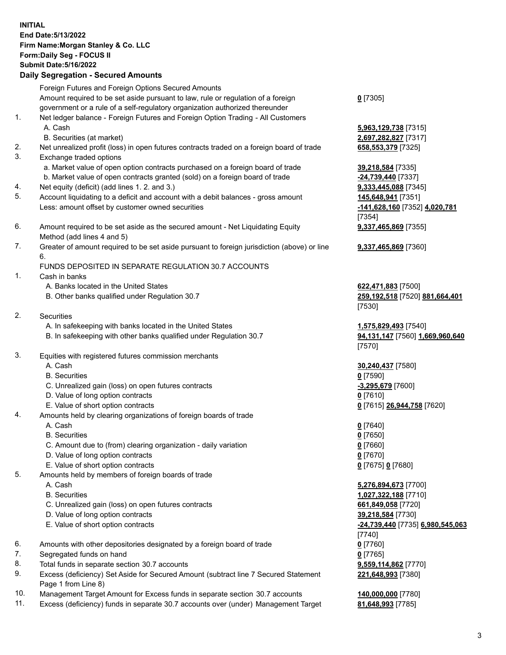## **INITIAL End Date:5/13/2022 Firm Name:Morgan Stanley & Co. LLC Form:Daily Seg - FOCUS II Submit Date:5/16/2022 Daily Segregation - Secured Amounts**

Foreign Futures and Foreign Options Secured Amounts Amount required to be set aside pursuant to law, rule or regulation of a foreign government or a rule of a self-regulatory organization authorized thereunder 1. Net ledger balance - Foreign Futures and Foreign Option Trading - All Customers A. Cash **5,963,129,738** [7315] B. Securities (at market) **2,697,282,827** [7317] 2. Net unrealized profit (loss) in open futures contracts traded on a foreign board of trade **658,553,379** [7325] 3. Exchange traded options a. Market value of open option contracts purchased on a foreign board of trade **39,218,584** [7335] b. Market value of open contracts granted (sold) on a foreign board of trade **-24,739,440** [7337] 4. Net equity (deficit) (add lines 1. 2. and 3.) **9,333,445,088** [7345] 5. Account liquidating to a deficit and account with a debit balances - gross amount **145,648,941** [7351] Less: amount offset by customer owned securities **-141,628,160** [7352] **4,020,781** 6. Amount required to be set aside as the secured amount - Net Liquidating Equity Method (add lines 4 and 5) 7. Greater of amount required to be set aside pursuant to foreign jurisdiction (above) or line 6. FUNDS DEPOSITED IN SEPARATE REGULATION 30.7 ACCOUNTS 1. Cash in banks A. Banks located in the United States **622,471,883** [7500] B. Other banks qualified under Regulation 30.7 **259,192,518** [7520] **881,664,401** 2. Securities A. In safekeeping with banks located in the United States **1,575,829,493** [7540] B. In safekeeping with other banks qualified under Regulation 30.7 **94,131,147** [7560] **1,669,960,640** 3. Equities with registered futures commission merchants A. Cash **30,240,437** [7580] B. Securities **0** [7590] C. Unrealized gain (loss) on open futures contracts **-3,295,679** [7600] D. Value of long option contracts **0** [7610] E. Value of short option contracts **0** [7615] **26,944,758** [7620] 4. Amounts held by clearing organizations of foreign boards of trade A. Cash **0** [7640] B. Securities **0** [7650] C. Amount due to (from) clearing organization - daily variation **0** [7660] D. Value of long option contracts **0** [7670] E. Value of short option contracts **0** [7675] **0** [7680] 5. Amounts held by members of foreign boards of trade A. Cash **5,276,894,673** [7700] B. Securities **1,027,322,188** [7710] C. Unrealized gain (loss) on open futures contracts **661,849,058** [7720]

- D. Value of long option contracts **39,218,584** [7730]
- 
- 6. Amounts with other depositories designated by a foreign board of trade **0** [7760]
- 7. Segregated funds on hand **0** [7765]
- 8. Total funds in separate section 30.7 accounts **9,559,114,862** [7770]
- 9. Excess (deficiency) Set Aside for Secured Amount (subtract line 7 Secured Statement Page 1 from Line 8)
- 10. Management Target Amount for Excess funds in separate section 30.7 accounts **140,000,000** [7780]
- 11. Excess (deficiency) funds in separate 30.7 accounts over (under) Management Target **81,648,993** [7785]

**0** [7305]

[7354] **9,337,465,869** [7355]

**9,337,465,869** [7360]

[7530]

[7570]

 E. Value of short option contracts **-24,739,440** [7735] **6,980,545,063** [7740] **221,648,993** [7380]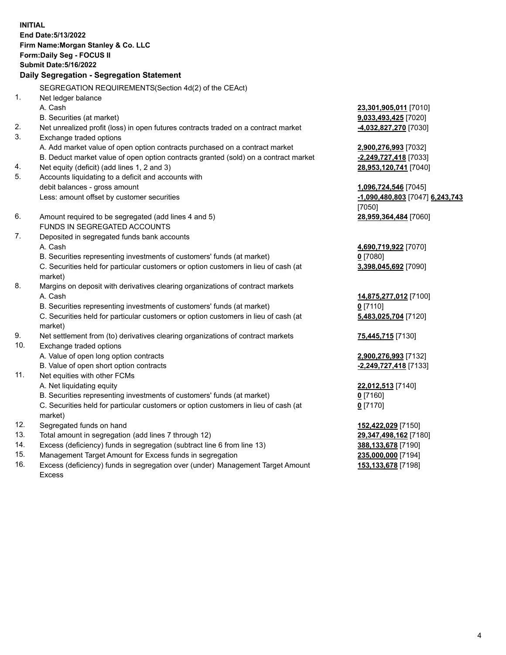**INITIAL End Date:5/13/2022 Firm Name:Morgan Stanley & Co. LLC Form:Daily Seg - FOCUS II Submit Date:5/16/2022 Daily Segregation - Segregation Statement** SEGREGATION REQUIREMENTS(Section 4d(2) of the CEAct) 1. Net ledger balance A. Cash **23,301,905,011** [7010] B. Securities (at market) **9,033,493,425** [7020] 2. Net unrealized profit (loss) in open futures contracts traded on a contract market **-4,032,827,270** [7030] 3. Exchange traded options A. Add market value of open option contracts purchased on a contract market **2,900,276,993** [7032] B. Deduct market value of open option contracts granted (sold) on a contract market **-2,249,727,418** [7033] 4. Net equity (deficit) (add lines 1, 2 and 3) **28,953,120,741** [7040] 5. Accounts liquidating to a deficit and accounts with debit balances - gross amount **1,096,724,546** [7045] Less: amount offset by customer securities **-1,090,480,803** [7047] **6,243,743** [7050] 6. Amount required to be segregated (add lines 4 and 5) **28,959,364,484** [7060] FUNDS IN SEGREGATED ACCOUNTS 7. Deposited in segregated funds bank accounts A. Cash **4,690,719,922** [7070] B. Securities representing investments of customers' funds (at market) **0** [7080] C. Securities held for particular customers or option customers in lieu of cash (at market) **3,398,045,692** [7090] 8. Margins on deposit with derivatives clearing organizations of contract markets A. Cash **14,875,277,012** [7100] B. Securities representing investments of customers' funds (at market) **0** [7110] C. Securities held for particular customers or option customers in lieu of cash (at market) **5,483,025,704** [7120] 9. Net settlement from (to) derivatives clearing organizations of contract markets **75,445,715** [7130] 10. Exchange traded options A. Value of open long option contracts **2,900,276,993** [7132] B. Value of open short option contracts **-2,249,727,418** [7133] 11. Net equities with other FCMs A. Net liquidating equity **22,012,513** [7140] B. Securities representing investments of customers' funds (at market) **0** [7160] C. Securities held for particular customers or option customers in lieu of cash (at market) **0** [7170] 12. Segregated funds on hand **152,422,029** [7150] 13. Total amount in segregation (add lines 7 through 12) **29,347,498,162** [7180] 14. Excess (deficiency) funds in segregation (subtract line 6 from line 13) **388,133,678** [7190] 15. Management Target Amount for Excess funds in segregation **235,000,000** [7194]

16. Excess (deficiency) funds in segregation over (under) Management Target Amount Excess

**153,133,678** [7198]